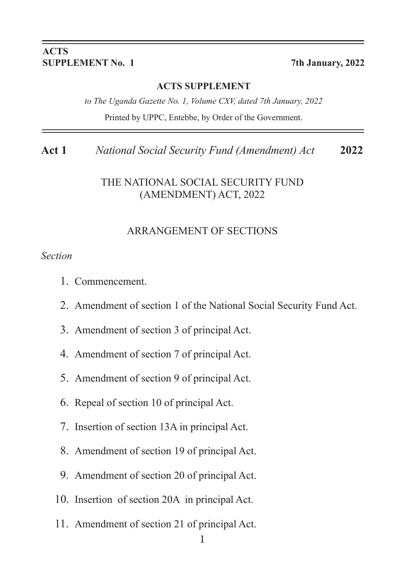#### **ACTS SUPPLEMENT No. 1 7th January, 2022**

#### **ACTS SUPPLEMENT**

**Act 1** *National Social Security Fund (Amendment) Act* **2022**

*to The Uganda Gazette No. 1, Volume CXV, dated 7th January, 2022* Printed by UPPC, Entebbe, by Order of the Government.

**Act 1** *National Social Security Fund (Amendment) Act* **2022**

#### THE NATIONAL SOCIAL SECURITY FUND (AMENDMENT) ACT, 2022

#### ARRANGEMENT OF SECTIONS

#### *Section*

- 1. Commencement.
- 2. Amendment of section 1 of the National Social Security Fund Act.
- 3. Amendment of section 3 of principal Act.
- 4. Amendment of section 7 of principal Act.
- 5. Amendment of section 9 of principal Act.
- 6. Repeal of section 10 of principal Act.
- 7. Insertion of section 13A in principal Act.
- 8. Amendment of section 19 of principal Act.
- 9. Amendment of section 20 of principal Act.
- 10. Insertion of section 20A in principal Act.
- 11. Amendment of section 21 of principal Act.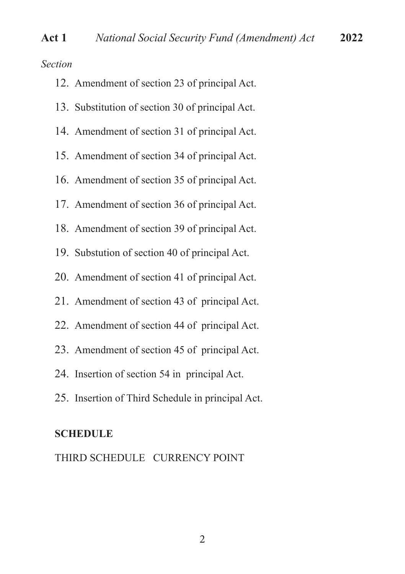*Section*

| 12. Amendment of section 23 of principal Act. |  |
|-----------------------------------------------|--|
|-----------------------------------------------|--|

- 13. Substitution of section 30 of principal Act.
- 14. Amendment of section 31 of principal Act.
- 15. Amendment of section 34 of principal Act.
- 16. Amendment of section 35 of principal Act.
- 17. Amendment of section 36 of principal Act.
- 18. Amendment of section 39 of principal Act.
- 19. Substution of section 40 of principal Act.
- 20. Amendment of section 41 of principal Act.
- 21. Amendment of section 43 of principal Act.
- 22. Amendment of section 44 of principal Act.
- 23. Amendment of section 45 of principal Act.
- 24. Insertion of section 54 in principal Act.
- 25. Insertion of Third Schedule in principal Act.

#### **SCHEDULE**

THIRD SCHEDULE CURRENCY POINT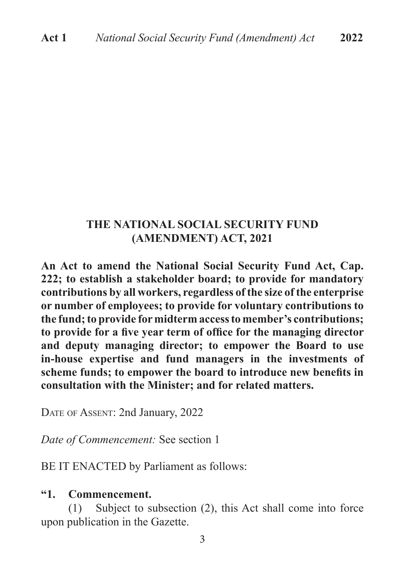#### **THE NATIONAL SOCIAL SECURITY FUND (AMENDMENT) ACT, 2021**

**An Act to amend the National Social Security Fund Act, Cap. 222; to establish a stakeholder board; to provide for mandatory contributions by all workers, regardless of the size of the enterprise or number of employees; to provide for voluntary contributions to the fund; to provide for midterm access to member's contributions; to provide for a fve year term of offce for the managing director and deputy managing director; to empower the Board to use in-house expertise and fund managers in the investments of scheme funds; to empower the board to introduce new benefts in consultation with the Minister; and for related matters.**

DATE OF ASSENT: 2nd January, 2022

*Date of Commencement:* See section 1

BE IT ENACTED by Parliament as follows:

#### **"1. Commencement.**

(1) Subject to subsection (2), this Act shall come into force upon publication in the Gazette.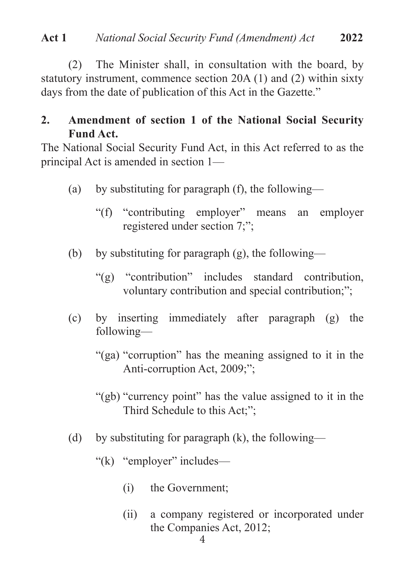(2) The Minister shall, in consultation with the board, by statutory instrument, commence section 20A (1) and (2) within sixty days from the date of publication of this Act in the Gazette."

# **2. Amendment of section 1 of the National Social Security Fund Act.**

The National Social Security Fund Act, in this Act referred to as the principal Act is amended in section 1—

- (a) by substituting for paragraph (f), the following—
	- "(f) "contributing employer" means an employer registered under section 7;";
- (b) by substituting for paragraph  $(g)$ , the following—
	- "(g) "contribution" includes standard contribution, voluntary contribution and special contribution;";
- (c) by inserting immediately after paragraph (g) the following—
	- "(ga) "corruption" has the meaning assigned to it in the Anti-corruption Act, 2009;";
	- "(gb) "currency point" has the value assigned to it in the Third Schedule to this Act;";
- (d) by substituting for paragraph  $(k)$ , the following—
	- "(k) "employer" includes—
		- (i) the Government;
		- (ii) a company registered or incorporated under the Companies Act, 2012;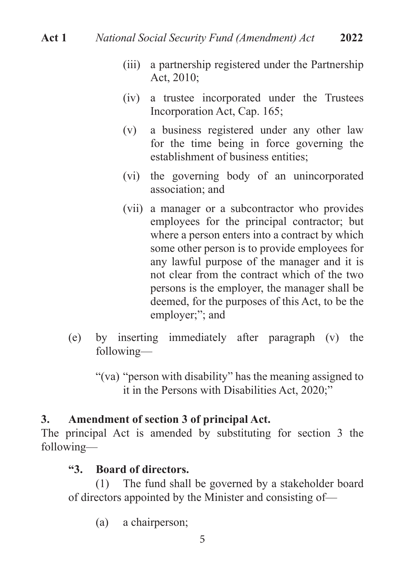- (iii) a partnership registered under the Partnership Act, 2010;
- (iv) a trustee incorporated under the Trustees Incorporation Act, Cap. 165;
- (v) a business registered under any other law for the time being in force governing the establishment of business entities;
- (vi) the governing body of an unincorporated association; and
- (vii) a manager or a subcontractor who provides employees for the principal contractor; but where a person enters into a contract by which some other person is to provide employees for any lawful purpose of the manager and it is not clear from the contract which of the two persons is the employer, the manager shall be deemed, for the purposes of this Act, to be the employer;"; and
- (e) by inserting immediately after paragraph (v) the following—
	- "(va) "person with disability" has the meaning assigned to it in the Persons with Disabilities Act, 2020;"

# **3. Amendment of section 3 of principal Act.**

The principal Act is amended by substituting for section 3 the following—

# **"3. Board of directors.**

(1) The fund shall be governed by a stakeholder board of directors appointed by the Minister and consisting of—

(a) a chairperson;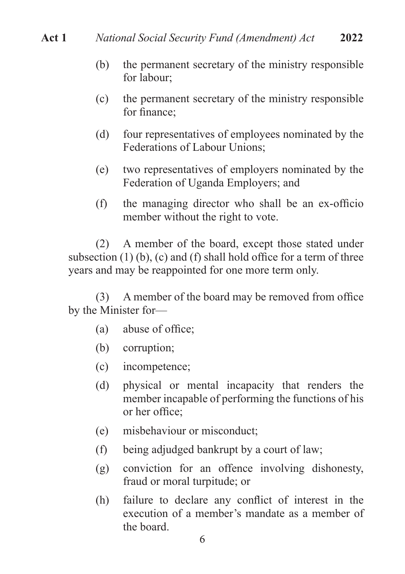- (b) the permanent secretary of the ministry responsible for labour;
- (c) the permanent secretary of the ministry responsible for fnance;
- (d) four representatives of employees nominated by the Federations of Labour Unions;
- (e) two representatives of employers nominated by the Federation of Uganda Employers; and
- (f) the managing director who shall be an ex-officio member without the right to vote.

(2) A member of the board, except those stated under subsection  $(1)$  (b),  $(c)$  and  $(f)$  shall hold office for a term of three years and may be reappointed for one more term only.

(3) A member of the board may be removed from office by the Minister for—

- $(a)$  abuse of office;
- (b) corruption;
- (c) incompetence;
- (d) physical or mental incapacity that renders the member incapable of performing the functions of his or her office:
- (e) misbehaviour or misconduct;
- (f) being adjudged bankrupt by a court of law;
- (g) conviction for an offence involving dishonesty, fraud or moral turpitude; or
- (h) failure to declare any confict of interest in the execution of a member's mandate as a member of the board.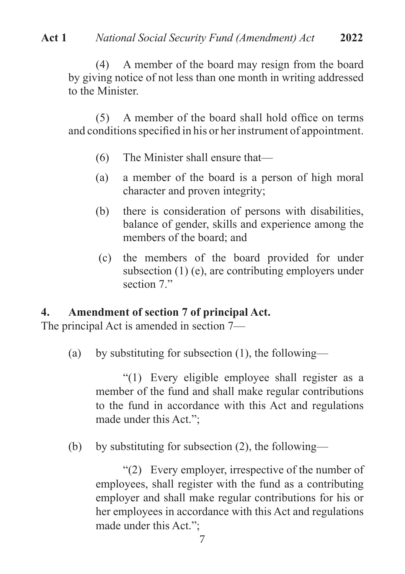**Act 1** *National Social Security Fund (Amendment) Act* **2022**

(4) A member of the board may resign from the board by giving notice of not less than one month in writing addressed to the Minister.

 $(5)$  A member of the board shall hold office on terms and conditions specifed in his or her instrument of appointment.

- (6) The Minister shall ensure that—
- (a) a member of the board is a person of high moral character and proven integrity;
- (b) there is consideration of persons with disabilities, balance of gender, skills and experience among the members of the board; and
- (c) the members of the board provided for under subsection (1) (e), are contributing employers under section 7"

#### **4. Amendment of section 7 of principal Act.**

The principal Act is amended in section 7—

(a) by substituting for subsection (1), the following—

"(1) Every eligible employee shall register as a member of the fund and shall make regular contributions to the fund in accordance with this Act and regulations made under this Act.";

(b) by substituting for subsection (2), the following—

"(2) Every employer, irrespective of the number of employees, shall register with the fund as a contributing employer and shall make regular contributions for his or her employees in accordance with this Act and regulations made under this Act.";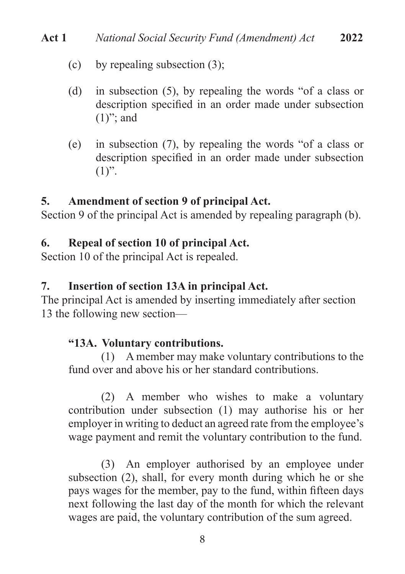- (c) by repealing subsection (3);
- (d) in subsection (5), by repealing the words "of a class or description specifed in an order made under subsection  $(1)$ "; and
- (e) in subsection (7), by repealing the words "of a class or description specifed in an order made under subsection  $(1)$ ".

#### **5. Amendment of section 9 of principal Act.**

Section 9 of the principal Act is amended by repealing paragraph (b).

## **6. Repeal of section 10 of principal Act.**

Section 10 of the principal Act is repealed.

#### **7. Insertion of section 13A in principal Act.**

The principal Act is amended by inserting immediately after section 13 the following new section—

## **"13A. Voluntary contributions.**

(1) A member may make voluntary contributions to the fund over and above his or her standard contributions.

(2) A member who wishes to make a voluntary contribution under subsection (1) may authorise his or her employer in writing to deduct an agreed rate from the employee's wage payment and remit the voluntary contribution to the fund.

(3) An employer authorised by an employee under subsection (2), shall, for every month during which he or she pays wages for the member, pay to the fund, within ffteen days next following the last day of the month for which the relevant wages are paid, the voluntary contribution of the sum agreed.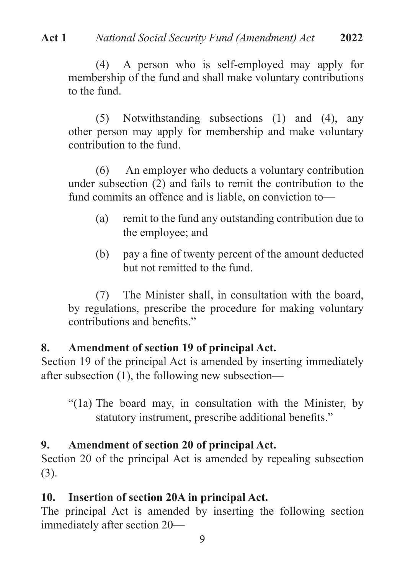(4) A person who is self-employed may apply for membership of the fund and shall make voluntary contributions to the fund.

(5) Notwithstanding subsections (1) and (4), any other person may apply for membership and make voluntary contribution to the fund.

(6) An employer who deducts a voluntary contribution under subsection (2) and fails to remit the contribution to the fund commits an offence and is liable, on conviction to—

- (a) remit to the fund any outstanding contribution due to the employee; and
- (b) pay a fne of twenty percent of the amount deducted but not remitted to the fund.

(7) The Minister shall, in consultation with the board, by regulations, prescribe the procedure for making voluntary contributions and benefts."

# **8. Amendment of section 19 of principal Act.**

Section 19 of the principal Act is amended by inserting immediately after subsection (1), the following new subsection—

"(1a) The board may, in consultation with the Minister, by statutory instrument, prescribe additional benefts."

# **9. Amendment of section 20 of principal Act.**

Section 20 of the principal Act is amended by repealing subsection (3).

# **10. Insertion of section 20A in principal Act.**

The principal Act is amended by inserting the following section immediately after section 20—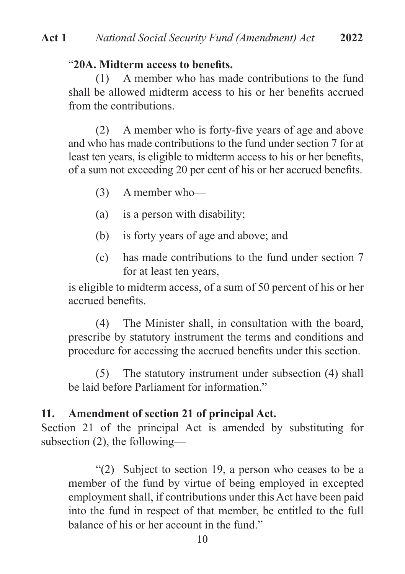#### "**20A. Midterm access to benefts.**

(1) A member who has made contributions to the fund shall be allowed midterm access to his or her benefts accrued from the contributions.

(2) A member who is forty-fve years of age and above and who has made contributions to the fund under section 7 for at least ten years, is eligible to midterm access to his or her benefts, of a sum not exceeding 20 per cent of his or her accrued benefts.

- (3) A member who—
- (a) is a person with disability;
- (b) is forty years of age and above; and
- (c) has made contributions to the fund under section 7 for at least ten years,

is eligible to midterm access, of a sum of 50 percent of his or her accrued benefts.

(4) The Minister shall, in consultation with the board, prescribe by statutory instrument the terms and conditions and procedure for accessing the accrued benefts under this section.

(5) The statutory instrument under subsection (4) shall be laid before Parliament for information."

#### **11. Amendment of section 21 of principal Act.**

Section 21 of the principal Act is amended by substituting for subsection (2), the following—

"(2) Subject to section 19, a person who ceases to be a member of the fund by virtue of being employed in excepted employment shall, if contributions under this Act have been paid into the fund in respect of that member, be entitled to the full balance of his or her account in the fund."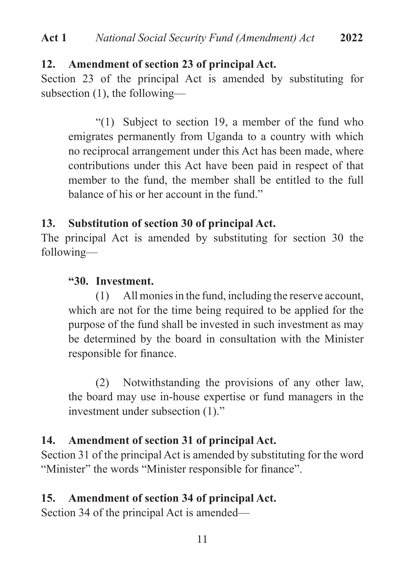#### **12. Amendment of section 23 of principal Act.**

Section 23 of the principal Act is amended by substituting for subsection (1), the following—

"(1) Subject to section 19, a member of the fund who emigrates permanently from Uganda to a country with which no reciprocal arrangement under this Act has been made, where contributions under this Act have been paid in respect of that member to the fund, the member shall be entitled to the full balance of his or her account in the fund."

## **13. Substitution of section 30 of principal Act.**

The principal Act is amended by substituting for section 30 the following—

#### **"30. Investment.**

(1) All monies in the fund, including the reserve account, which are not for the time being required to be applied for the purpose of the fund shall be invested in such investment as may be determined by the board in consultation with the Minister responsible for fnance.

(2) Notwithstanding the provisions of any other law, the board may use in-house expertise or fund managers in the investment under subsection (1)."

## **14. Amendment of section 31 of principal Act.**

Section 31 of the principal Act is amended by substituting for the word "Minister" the words "Minister responsible for fnance".

## **15. Amendment of section 34 of principal Act.**

Section 34 of the principal Act is amended—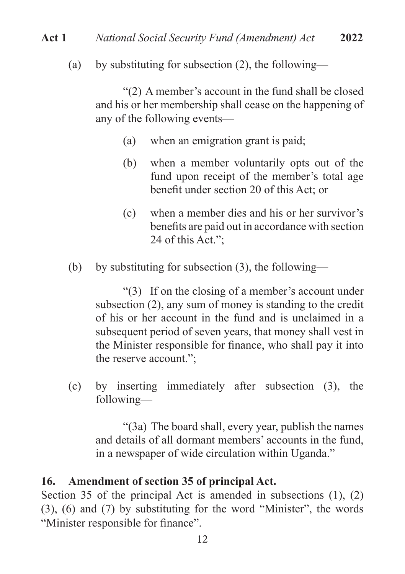## **Act 1** *National Social Security Fund (Amendment) Act* **2022**

(a) by substituting for subsection  $(2)$ , the following—

"(2) A member's account in the fund shall be closed and his or her membership shall cease on the happening of any of the following events—

- (a) when an emigration grant is paid;
- (b) when a member voluntarily opts out of the fund upon receipt of the member's total age beneft under section 20 of this Act; or
- (c) when a member dies and his or her survivor's benefts are paid out in accordance with section 24 of this Act.";
- (b) by substituting for subsection  $(3)$ , the following—

"(3) If on the closing of a member's account under subsection (2), any sum of money is standing to the credit of his or her account in the fund and is unclaimed in a subsequent period of seven years, that money shall vest in the Minister responsible for fnance, who shall pay it into the reserve account.";

(c) by inserting immediately after subsection (3), the following—

"(3a) The board shall, every year, publish the names and details of all dormant members' accounts in the fund, in a newspaper of wide circulation within Uganda."

#### **16. Amendment of section 35 of principal Act.**

Section 35 of the principal Act is amended in subsections (1), (2) (3), (6) and (7) by substituting for the word "Minister", the words "Minister responsible for fnance".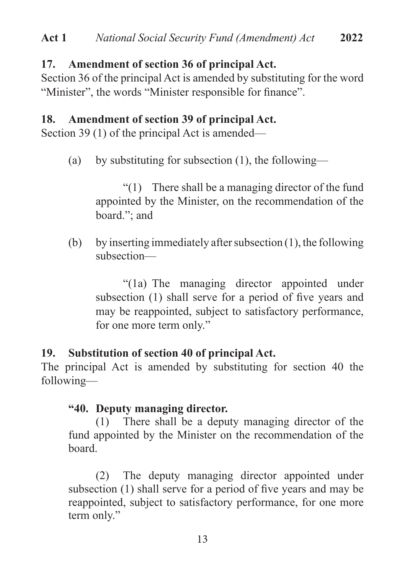## **17. Amendment of section 36 of principal Act.**

Section 36 of the principal Act is amended by substituting for the word "Minister", the words "Minister responsible for fnance".

#### **18. Amendment of section 39 of principal Act.**

Section 39 (1) of the principal Act is amended—

(a) by substituting for subsection (1), the following—

"(1) There shall be a managing director of the fund appointed by the Minister, on the recommendation of the board."; and

(b) by inserting immediately after subsection  $(1)$ , the following subsection—

"(1a) The managing director appointed under subsection (1) shall serve for a period of five years and may be reappointed, subject to satisfactory performance, for one more term only."

## **19. Substitution of section 40 of principal Act.**

The principal Act is amended by substituting for section 40 the following—

#### **"40. Deputy managing director.**

(1) There shall be a deputy managing director of the fund appointed by the Minister on the recommendation of the board.

(2) The deputy managing director appointed under subsection (1) shall serve for a period of five years and may be reappointed, subject to satisfactory performance, for one more term only."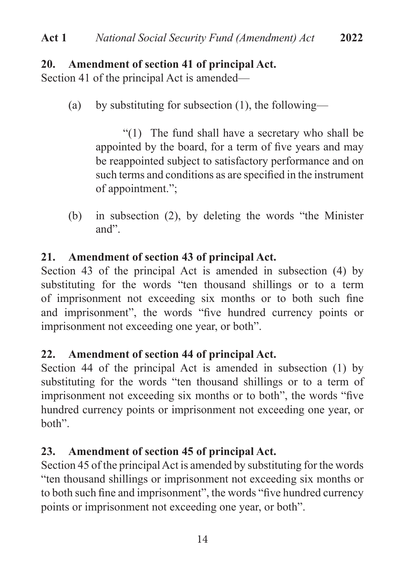# **20. Amendment of section 41 of principal Act.**

Section 41 of the principal Act is amended—

(a) by substituting for subsection  $(1)$ , the following—

"(1) The fund shall have a secretary who shall be appointed by the board, for a term of fve years and may be reappointed subject to satisfactory performance and on such terms and conditions as are specifed in the instrument of appointment.";

(b) in subsection (2), by deleting the words "the Minister and".

# **21. Amendment of section 43 of principal Act.**

Section 43 of the principal Act is amended in subsection (4) by substituting for the words "ten thousand shillings or to a term of imprisonment not exceeding six months or to both such fne and imprisonment", the words "fve hundred currency points or imprisonment not exceeding one year, or both".

# **22. Amendment of section 44 of principal Act.**

Section 44 of the principal Act is amended in subsection (1) by substituting for the words "ten thousand shillings or to a term of imprisonment not exceeding six months or to both", the words "fve hundred currency points or imprisonment not exceeding one year, or both".

# **23. Amendment of section 45 of principal Act.**

Section 45 of the principal Act is amended by substituting for the words "ten thousand shillings or imprisonment not exceeding six months or to both such fne and imprisonment", the words "fve hundred currency points or imprisonment not exceeding one year, or both".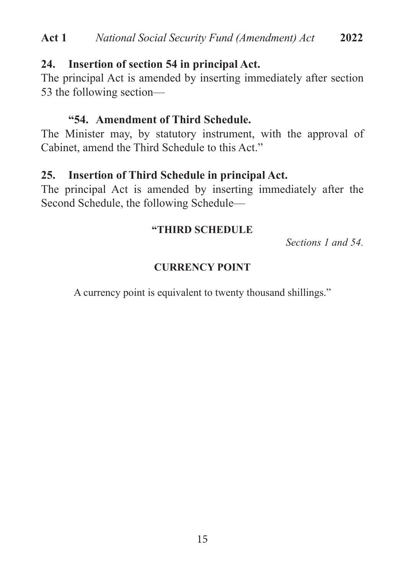## **24. Insertion of section 54 in principal Act.**

The principal Act is amended by inserting immediately after section 53 the following section—

#### **"54. Amendment of Third Schedule.**

The Minister may, by statutory instrument, with the approval of Cabinet, amend the Third Schedule to this Act."

# **25. Insertion of Third Schedule in principal Act.**

The principal Act is amended by inserting immediately after the Second Schedule, the following Schedule—

#### **"THIRD SCHEDULE**

*Sections 1 and 54.*

## **CURRENCY POINT**

A currency point is equivalent to twenty thousand shillings."